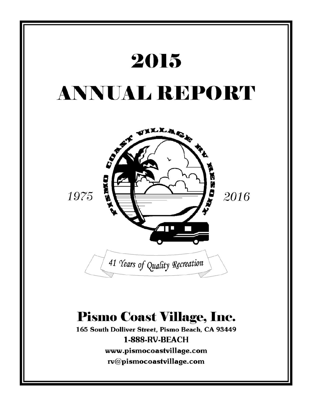

rv@pismocoastvillage.com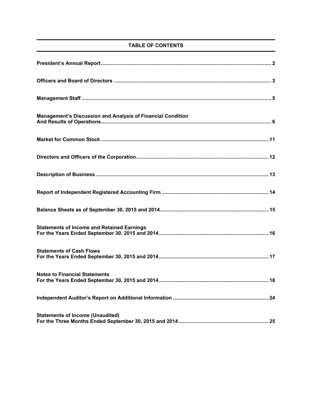# **TABLE OF CONTENTS**

| Management's Discussion and Analysis of Financial Condition |
|-------------------------------------------------------------|
|                                                             |
|                                                             |
|                                                             |
|                                                             |
|                                                             |
| <b>Statements of Income and Retained Earnings</b>           |
| <b>Statements of Cash Flows</b>                             |
| <b>Notes to Financial Statements</b>                        |
|                                                             |
| <b>Statements of Income (Unaudited)</b>                     |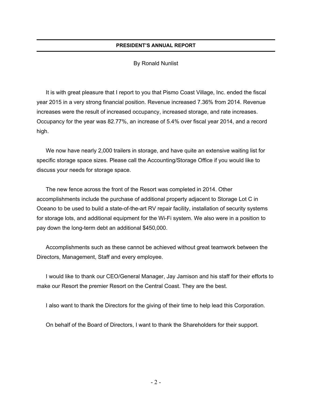# **PRESIDENT'S ANNUAL REPORT**

# By Ronald Nunlist

It is with great pleasure that I report to you that Pismo Coast Village, Inc. ended the fiscal year 2015 in a very strong financial position. Revenue increased 7.36% from 2014. Revenue increases were the result of increased occupancy, increased storage, and rate increases. Occupancy for the year was 82.77%, an increase of 5.4% over fiscal year 2014, and a record high.

We now have nearly 2,000 trailers in storage, and have quite an extensive waiting list for specific storage space sizes. Please call the Accounting/Storage Office if you would like to discuss your needs for storage space.

The new fence across the front of the Resort was completed in 2014. Other accomplishments include the purchase of additional property adjacent to Storage Lot C in Oceano to be used to build a state-of-the-art RV repair facility, installation of security systems for storage lots, and additional equipment for the Wi-Fi system. We also were in a position to pay down the long-term debt an additional \$450,000.

Accomplishments such as these cannot be achieved without great teamwork between the Directors, Management, Staff and every employee.

I would like to thank our CEO/General Manager, Jay Jamison and his staff for their efforts to make our Resort the premier Resort on the Central Coast. They are the best.

I also want to thank the Directors for the giving of their time to help lead this Corporation.

On behalf of the Board of Directors, I want to thank the Shareholders for their support.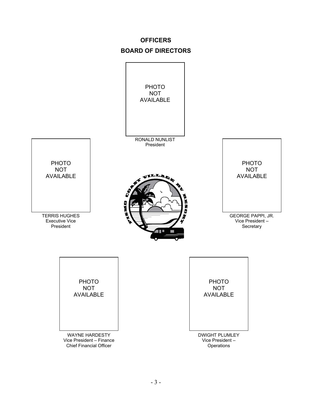# **OFFICERS BOARD OF DIRECTORS**

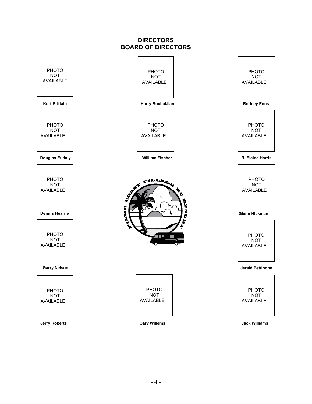# **DIRECTORS BOARD OF DIRECTORS**

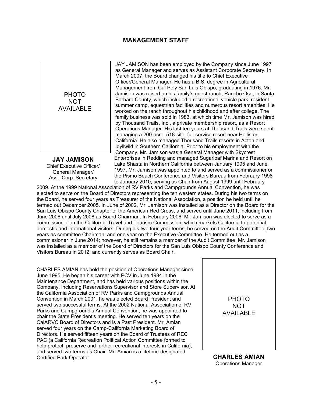# **MANAGEMENT STAFF**



**JAY JAMISON**  Chief Executive Officer/ General Manager/ Asst. Corp. Secretary

JAY JAMISON has been employed by the Company since June 1997 as General Manager and serves as Assistant Corporate Secretary. In March 2007, the Board changed his title to Chief Executive Officer/General Manager. He has a B.S. degree in Agricultural Management from Cal Poly San Luis Obispo, graduating in 1976. Mr. Jamison was raised on his family's guest ranch, Rancho Oso, in Santa Barbara County, which included a recreational vehicle park, resident summer camp, equestrian facilities and numerous resort amenities. He worked on the ranch throughout his childhood and after college. The family business was sold in 1983, at which time Mr. Jamison was hired by Thousand Trails, Inc., a private membership resort, as a Resort Operations Manager. His last ten years at Thousand Trails were spent managing a 200-acre, 518-site, full-service resort near Hollister, California. He also managed Thousand Trails resorts in Acton and Idyllwild in Southern California. Prior to his employment with the Company, Mr. Jamison was a General Manager with Skycrest Enterprises in Redding and managed Sugarloaf Marina and Resort on Lake Shasta in Northern California between January 1995 and June 1997. Mr. Jamison was appointed to and served as a commissioner on the Pismo Beach Conference and Visitors Bureau from February 1998 to January 2010, serving as Chair from August 1999 until February

2009. At the 1999 National Association of RV Parks and Campgrounds Annual Convention, he was elected to serve on the Board of Directors representing the ten western states. During his two terms on the Board, he served four years as Treasurer of the National Association, a position he held until he termed out December 2005. In June of 2002, Mr. Jamison was installed as a Director on the Board for the San Luis Obispo County Chapter of the American Red Cross, and served until June 2011, including from June 2006 until July 2008 as Board Chairman. In February 2006, Mr. Jamison was elected to serve as a commissioner on the California Travel and Tourism Commission, which markets California to potential domestic and international visitors. During his two four-year terms, he served on the Audit Committee, two years as committee Chairman, and one year on the Executive Committee. He termed out as a commissioner in June 2014; however, he still remains a member of the Audit Committee. Mr. Jamison was installed as a member of the Board of Directors for the San Luis Obispo County Conference and Visitors Bureau in 2012, and currently serves as Board Chair.

CHARLES AMIAN has held the position of Operations Manager since June 1995. He began his career with PCV in June 1984 in the Maintenance Department, and has held various positions within the Company, including Reservations Supervisor and Store Supervisor. At the California Association of RV Parks and Campgrounds Annual Convention in March 2001, he was elected Board President and served two successful terms. At the 2002 National Association of RV Parks and Campground's Annual Convention, he was appointed to chair the State President's meeting. He served ten years on the CalARVC Board of Directors and is a Past President. Mr. Amian served four years on the Camp-California Marketing Board of Directors. He served fifteen years on the Board of Trustees of REC PAC (a California Recreation Political Action Committee formed to help protect, preserve and further recreational interests in California), and served two terms as Chair. Mr. Amian is a lifetime-designated Certified Park Operator. **CHARLES AMIAN** 



Operations Manager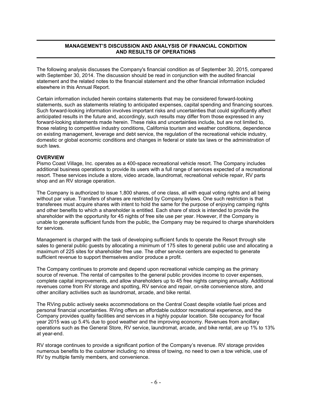# **MANAGEMENT'S DISCUSSION AND ANALYSIS OF FINANCIAL CONDITION AND RESULTS OF OPERATIONS**

The following analysis discusses the Company's financial condition as of September 30, 2015, compared with September 30, 2014. The discussion should be read in conjunction with the audited financial statement and the related notes to the financial statement and the other financial information included elsewhere in this Annual Report.

Certain information included herein contains statements that may be considered forward-looking statements, such as statements relating to anticipated expenses, capital spending and financing sources. Such forward-looking information involves important risks and uncertainties that could significantly affect anticipated results in the future and, accordingly, such results may differ from those expressed in any forward-looking statements made herein. These risks and uncertainties include, but are not limited to, those relating to competitive industry conditions, California tourism and weather conditions, dependence on existing management, leverage and debt service, the regulation of the recreational vehicle industry, domestic or global economic conditions and changes in federal or state tax laws or the administration of such laws.

## **OVERVIEW**

Pismo Coast Village, Inc. operates as a 400-space recreational vehicle resort. The Company includes additional business operations to provide its users with a full range of services expected of a recreational resort. These services include a store, video arcade, laundromat, recreational vehicle repair, RV parts shop and an RV storage operation.

The Company is authorized to issue 1,800 shares, of one class, all with equal voting rights and all being without par value. Transfers of shares are restricted by Company bylaws. One such restriction is that transferees must acquire shares with intent to hold the same for the purpose of enjoying camping rights and other benefits to which a shareholder is entitled. Each share of stock is intended to provide the shareholder with the opportunity for 45 nights of free site use per year. However, if the Company is unable to generate sufficient funds from the public, the Company may be required to charge shareholders for services.

Management is charged with the task of developing sufficient funds to operate the Resort through site sales to general public guests by allocating a minimum of 175 sites to general public use and allocating a maximum of 225 sites for shareholder free use. The other service centers are expected to generate sufficient revenue to support themselves and/or produce a profit.

The Company continues to promote and depend upon recreational vehicle camping as the primary source of revenue. The rental of campsites to the general public provides income to cover expenses, complete capital improvements, and allow shareholders up to 45 free nights camping annually. Additional revenues come from RV storage and spotting, RV service and repair, on-site convenience store, and other ancillary activities such as laundromat, arcade, and bike rental.

The RVing public actively seeks accommodations on the Central Coast despite volatile fuel prices and personal financial uncertainties. RVing offers an affordable outdoor recreational experience, and the Company provides quality facilities and services in a highly popular location. Site occupancy for fiscal year 2015 was up 5.4% due to good weather and the improving economy. Revenues from ancillary operations such as the General Store, RV service, laundromat, arcade, and bike rental, are up 1% to 13% at year-end.

RV storage continues to provide a significant portion of the Company's revenue. RV storage provides numerous benefits to the customer including: no stress of towing, no need to own a tow vehicle, use of RV by multiple family members, and convenience.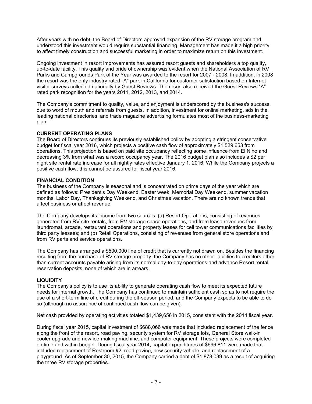After years with no debt, the Board of Directors approved expansion of the RV storage program and understood this investment would require substantial financing. Management has made it a high priority to affect timely construction and successful marketing in order to maximize return on this investment.

Ongoing investment in resort improvements has assured resort guests and shareholders a top quality, up-to-date facility. This quality and pride of ownership was evident when the National Association of RV Parks and Campgrounds Park of the Year was awarded to the resort for 2007 - 2008. In addition, in 2008 the resort was the only industry rated "A" park in California for customer satisfaction based on Internet visitor surveys collected nationally by Guest Reviews. The resort also received the Guest Reviews "A" rated park recognition for the years 2011, 2012, 2013, and 2014.

The Company's commitment to quality, value, and enjoyment is underscored by the business's success due to word of mouth and referrals from guests. In addition, investment for online marketing, ads in the leading national directories, and trade magazine advertising formulates most of the business-marketing plan.

## **CURRENT OPERATING PLANS**

The Board of Directors continues its previously established policy by adopting a stringent conservative budget for fiscal year 2016, which projects a positive cash flow of approximately \$1,529,653 from operations. This projection is based on paid site occupancy reflecting some influence from El Nino and decreasing 3% from what was a record occupancy year. The 2016 budget plan also includes a \$2 per night site rental rate increase for all nightly rates effective January 1, 2016. While the Company projects a positive cash flow, this cannot be assured for fiscal year 2016.

## **FINANCIAL CONDITION**

The business of the Company is seasonal and is concentrated on prime days of the year which are defined as follows: President's Day Weekend, Easter week, Memorial Day Weekend, summer vacation months, Labor Day, Thanksgiving Weekend, and Christmas vacation. There are no known trends that affect business or affect revenue.

The Company develops its income from two sources: (a) Resort Operations, consisting of revenues generated from RV site rentals, from RV storage space operations, and from lease revenues from laundromat, arcade, restaurant operations and property leases for cell tower communications facilities by third party lessees; and (b) Retail Operations, consisting of revenues from general store operations and from RV parts and service operations.

The Company has arranged a \$500,000 line of credit that is currently not drawn on. Besides the financing resulting from the purchase of RV storage property, the Company has no other liabilities to creditors other than current accounts payable arising from its normal day-to-day operations and advance Resort rental reservation deposits, none of which are in arrears.

# **LIQUIDITY**

The Company's policy is to use its ability to generate operating cash flow to meet its expected future needs for internal growth. The Company has continued to maintain sufficient cash so as to not require the use of a short-term line of credit during the off-season period, and the Company expects to be able to do so (although no assurance of continued cash flow can be given).

Net cash provided by operating activities totaled \$1,439,656 in 2015, consistent with the 2014 fiscal year.

During fiscal year 2015, capital investment of \$688,066 was made that included replacement of the fence along the front of the resort, road paving, security system for RV storage lots, General Store walk-in cooler upgrade and new ice-making machine, and computer equipment. These projects were completed on time and within budget. During fiscal year 2014, capital expenditures of \$696,811 were made that included replacement of Restroom #2, road paving, new security vehicle, and replacement of a playground. As of September 30, 2015, the Company carried a debt of \$1,878,039 as a result of acquiring the three RV storage properties.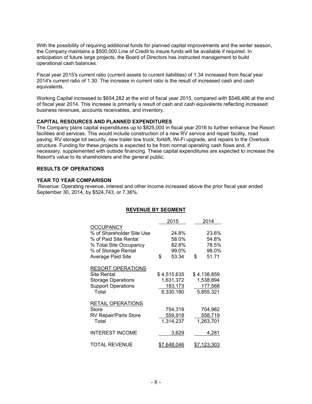With the possibility of requiring additional funds for planned capital improvements and the winter season, the Company maintains a \$500,000 Line of Credit to insure funds will be available if required. In anticipation of future large projects, the Board of Directors has instructed management to build operational cash balances.

Fiscal year 2015's current ratio (current assets to current liabilities) of 1.34 increased from fiscal year 2014's current ratio of 1.30. The increase in current ratio is the result of increased cash and cash equivalents.

Working Capital increased to \$654,282 at the end of fiscal year 2015, compared with \$548,486 at the end of fiscal year 2014. This increase is primarily a result of cash and cash equivalents reflecting increased business revenues, accounts receivables, and inventory.

## **CAPITAL RESOURCES AND PLANNED EXPENDITURES**

The Company plans capital expenditures up to \$825,000 in fiscal year 2016 to further enhance the Resort facilities and services. This would include construction of a new RV service and repair facility, road paving, RV storage lot security, new trailer tow truck, forklift, Wi-Fi upgrade, and repairs to the Overlook structure. Funding for these projects is expected to be from normal operating cash flows and, if necessary, supplemented with outside financing. These capital expenditures are expected to increase the Resort's value to its shareholders and the general public.

## **RESULTS OF OPERATIONS**

## **YEAR TO YEAR COMPARISON**

 Revenue: Operating revenue, interest and other income increased above the prior fiscal year ended September 30, 2014, by \$524,743, or 7.36%.

# **REVENUE BY SEGMENT**

|                                                                                                                                              | 2015                                             | 2014                                             |
|----------------------------------------------------------------------------------------------------------------------------------------------|--------------------------------------------------|--------------------------------------------------|
| <b>OCCUPANCY</b><br>% of Shareholder Site Use<br>% of Paid Site Rental<br>% Total Site Occupancy<br>% of Storage Rental<br>Average Paid Site | \$<br>24.8%<br>58.0%<br>82.8%<br>99.0%<br>53.34  | \$<br>23.6%<br>54.8%<br>78.5%<br>98.0%<br>51.71  |
| <b>RESORT OPERATIONS</b><br>Site Rental<br><b>Storage Operations</b><br><b>Support Operations</b><br>Total                                   | \$4,515,635<br>1,631,372<br>183,173<br>6,330,180 | \$4,138,859<br>1,538,894<br>177,568<br>5,855,321 |
| <b>RETAIL OPERATIONS</b><br><b>Store</b><br><b>RV Repair/Parts Store</b><br>Total                                                            | 754,319<br>559,918<br>1,314,237                  | 704,982<br>558,719<br>1,263,701                  |
| <b>INTEREST INCOME</b>                                                                                                                       | 3,629                                            | 4,281                                            |
| <b>TOTAL REVENUE</b>                                                                                                                         | <u>\$7,648,046</u>                               | <u>\$7,123,303</u>                               |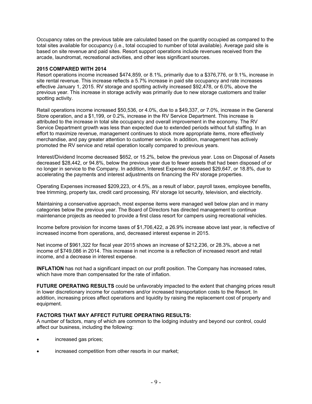Occupancy rates on the previous table are calculated based on the quantity occupied as compared to the total sites available for occupancy (i.e., total occupied to number of total available). Average paid site is based on site revenue and paid sites. Resort support operations include revenues received from the arcade, laundromat, recreational activities, and other less significant sources.

#### **2015 COMPARED WITH 2014**

Resort operations income increased \$474,859, or 8.1%, primarily due to a \$376,776, or 9.1%, increase in site rental revenue. This increase reflects a 5.7% increase in paid site occupancy and rate increases effective January 1, 2015. RV storage and spotting activity increased \$92,478, or 6.0%, above the previous year. This increase in storage activity was primarily due to new storage customers and trailer spotting activity.

Retail operations income increased \$50,536, or 4.0%, due to a \$49,337, or 7.0%, increase in the General Store operation, and a \$1,199, or 0.2%, increase in the RV Service Department. This increase is attributed to the increase in total site occupancy and overall improvement in the economy. The RV Service Department growth was less than expected due to extended periods without full staffing. In an effort to maximize revenue, management continues to stock more appropriate items, more effectively merchandise, and pay greater attention to customer service. In addition, management has actively promoted the RV service and retail operation locally compared to previous years.

Interest/Dividend Income decreased \$652, or 15.2%, below the previous year. Loss on Disposal of Assets decreased \$28,442, or 94.8%, below the previous year due to fewer assets that had been disposed of or no longer in service to the Company. In addition, Interest Expense decreased \$29,647, or 18.8%, due to accelerating the payments and interest adjustments on financing the RV storage properties.

Operating Expenses increased \$209,223, or 4.5%, as a result of labor, payroll taxes, employee benefits, tree trimming, property tax, credit card processing, RV storage lot security, television, and electricity.

Maintaining a conservative approach, most expense items were managed well below plan and in many categories below the previous year. The Board of Directors has directed management to continue maintenance projects as needed to provide a first class resort for campers using recreational vehicles.

Income before provision for income taxes of \$1,706,422, a 26.9% increase above last year, is reflective of increased income from operations, and, decreased interest expense in 2015.

Net income of \$961,322 for fiscal year 2015 shows an increase of \$212,236, or 28.3%, above a net income of \$749,086 in 2014. This increase in net income is a reflection of increased resort and retail income, and a decrease in interest expense.

**INFLATION** has not had a significant impact on our profit position. The Company has increased rates, which have more than compensated for the rate of inflation.

**FUTURE OPERATING RESULTS** could be unfavorably impacted to the extent that changing prices result in lower discretionary income for customers and/or increased transportation costs to the Resort. In addition, increasing prices affect operations and liquidity by raising the replacement cost of property and equipment.

# **FACTORS THAT MAY AFFECT FUTURE OPERATING RESULTS:**

A number of factors, many of which are common to the lodging industry and beyond our control, could affect our business, including the following:

- increased gas prices;
- increased competition from other resorts in our market;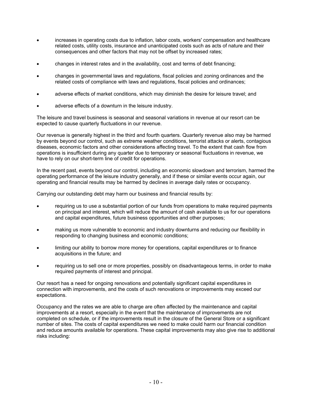- increases in operating costs due to inflation, labor costs, workers' compensation and healthcare related costs, utility costs, insurance and unanticipated costs such as acts of nature and their consequences and other factors that may not be offset by increased rates;
- changes in interest rates and in the availability, cost and terms of debt financing;
- changes in governmental laws and regulations, fiscal policies and zoning ordinances and the related costs of compliance with laws and regulations, fiscal policies and ordinances;
- adverse effects of market conditions, which may diminish the desire for leisure travel; and
- adverse effects of a downturn in the leisure industry.

The leisure and travel business is seasonal and seasonal variations in revenue at our resort can be expected to cause quarterly fluctuations in our revenue.

Our revenue is generally highest in the third and fourth quarters. Quarterly revenue also may be harmed by events beyond our control, such as extreme weather conditions, terrorist attacks or alerts, contagious diseases, economic factors and other considerations affecting travel. To the extent that cash flow from operations is insufficient during any quarter due to temporary or seasonal fluctuations in revenue, we have to rely on our short-term line of credit for operations.

In the recent past, events beyond our control, including an economic slowdown and terrorism, harmed the operating performance of the leisure industry generally, and if these or similar events occur again, our operating and financial results may be harmed by declines in average daily rates or occupancy.

Carrying our outstanding debt may harm our business and financial results by:

- requiring us to use a substantial portion of our funds from operations to make required payments on principal and interest, which will reduce the amount of cash available to us for our operations and capital expenditures, future business opportunities and other purposes;
- making us more vulnerable to economic and industry downturns and reducing our flexibility in responding to changing business and economic conditions;
- limiting our ability to borrow more money for operations, capital expenditures or to finance acquisitions in the future; and
- requiring us to sell one or more properties, possibly on disadvantageous terms, in order to make required payments of interest and principal.

Our resort has a need for ongoing renovations and potentially significant capital expenditures in connection with improvements, and the costs of such renovations or improvements may exceed our expectations.

Occupancy and the rates we are able to charge are often affected by the maintenance and capital improvements at a resort, especially in the event that the maintenance of improvements are not completed on schedule, or if the improvements result in the closure of the General Store or a significant number of sites. The costs of capital expenditures we need to make could harm our financial condition and reduce amounts available for operations. These capital improvements may also give rise to additional risks including: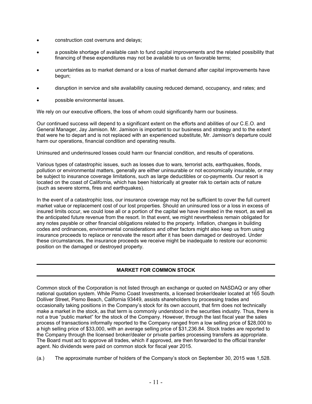- construction cost overruns and delays;
- a possible shortage of available cash to fund capital improvements and the related possibility that financing of these expenditures may not be available to us on favorable terms;
- uncertainties as to market demand or a loss of market demand after capital improvements have begun;
- disruption in service and site availability causing reduced demand, occupancy, and rates; and
- possible environmental issues.

We rely on our executive officers, the loss of whom could significantly harm our business.

Our continued success will depend to a significant extent on the efforts and abilities of our C.E.O. and General Manager, Jay Jamison. Mr. Jamison is important to our business and strategy and to the extent that were he to depart and is not replaced with an experienced substitute, Mr. Jamison's departure could harm our operations, financial condition and operating results.

Uninsured and underinsured losses could harm our financial condition, and results of operations.

Various types of catastrophic issues, such as losses due to wars, terrorist acts, earthquakes, floods, pollution or environmental matters, generally are either uninsurable or not economically insurable, or may be subject to insurance coverage limitations, such as large deductibles or co-payments. Our resort is located on the coast of California, which has been historically at greater risk to certain acts of nature (such as severe storms, fires and earthquakes).

In the event of a catastrophic loss, our insurance coverage may not be sufficient to cover the full current market value or replacement cost of our lost properties. Should an uninsured loss or a loss in excess of insured limits occur, we could lose all or a portion of the capital we have invested in the resort, as well as the anticipated future revenue from the resort. In that event, we might nevertheless remain obligated for any notes payable or other financial obligations related to the property. Inflation, changes in building codes and ordinances, environmental considerations and other factors might also keep us from using insurance proceeds to replace or renovate the resort after it has been damaged or destroyed. Under these circumstances, the insurance proceeds we receive might be inadequate to restore our economic position on the damaged or destroyed property.

# **MARKET FOR COMMON STOCK**

Common stock of the Corporation is not listed through an exchange or quoted on NASDAQ or any other national quotation system. While Pismo Coast Investments, a licensed broker/dealer located at 165 South Dolliver Street, Pismo Beach, California 93449, assists shareholders by processing trades and occasionally taking positions in the Company's stock for its own account, that firm does not technically make a market in the stock, as that term is commonly understood in the securities industry. Thus, there is not a true "public market" for the stock of the Company. However, through the last fiscal year the sales process of transactions informally reported to the Company ranged from a low selling price of \$28,000 to a high selling price of \$33,000, with an average selling price of \$31,236.84. Stock trades are reported to the Company through the licensed broker/dealer or private parties processing transfers as appropriate. The Board must act to approve all trades, which if approved, are then forwarded to the official transfer agent. No dividends were paid on common stock for fiscal year 2015.

(a.) The approximate number of holders of the Company's stock on September 30, 2015 was 1,528.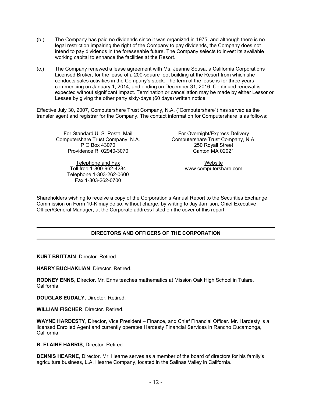- (b.) The Company has paid no dividends since it was organized in 1975, and although there is no legal restriction impairing the right of the Company to pay dividends, the Company does not intend to pay dividends in the foreseeable future. The Company selects to invest its available working capital to enhance the facilities at the Resort.
- (c.) The Company renewed a lease agreement with Ms. Jeanne Sousa, a California Corporations Licensed Broker, for the lease of a 200-square foot building at the Resort from which she conducts sales activities in the Company's stock. The term of the lease is for three years commencing on January 1, 2014, and ending on December 31, 2016. Continued renewal is expected without significant impact. Termination or cancellation may be made by either Lessor or Lessee by giving the other party sixty-days (60 days) written notice.

Effective July 30, 2007, Computershare Trust Company, N.A. ("Computershare") has served as the transfer agent and registrar for the Company. The contact information for Computershare is as follows:

For Standard U. S. Postal Mail For Overnight/Express Delivery<br>Computershare Trust Company, N.A. Computershare Trust Company, N. Providence RI 02940-3070 Canton MA 02021

Telephone and Fax Website Toll free 1-800-962-4284 [www.computershare.com](http://www.computershare.com/) Telephone 1-303-262-0600 Fax 1-303-262-0700

Share Trust Company, N.A.<br>
P O Box 43070<br>
250 Rovall Street 250 Royall Street

Shareholders wishing to receive a copy of the Corporation's Annual Report to the Securities Exchange Commission on Form 10-K may do so, without charge, by writing to Jay Jamison, Chief Executive Officer/General Manager, at the Corporate address listed on the cover of this report.

# **DIRECTORS AND OFFICERS OF THE CORPORATION**

**KURT BRITTAIN**, Director. Retired.

**HARRY BUCHAKLIAN**, Director. Retired.

**RODNEY ENNS**, Director. Mr. Enns teaches mathematics at Mission Oak High School in Tulare, California.

**DOUGLAS EUDALY**, Director. Retired.

**WILLIAM FISCHER**, Director. Retired.

**WAYNE HARDESTY**, Director, Vice President – Finance, and Chief Financial Officer. Mr. Hardesty is a licensed Enrolled Agent and currently operates Hardesty Financial Services in Rancho Cucamonga, California.

**R. ELAINE HARRIS**, Director. Retired.

**DENNIS HEARNE**, Director. Mr. Hearne serves as a member of the board of directors for his family's agriculture business, L.A. Hearne Company, located in the Salinas Valley in California.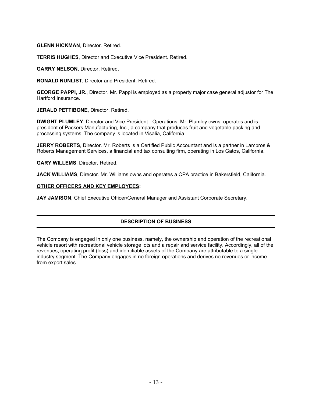**GLENN HICKMAN**, Director. Retired.

**TERRIS HUGHES**, Director and Executive Vice President. Retired.

**GARRY NELSON**, Director. Retired.

**RONALD NUNLIST**, Director and President. Retired.

**GEORGE PAPPI, JR.**, Director. Mr. Pappi is employed as a property major case general adjustor for The Hartford Insurance.

**JERALD PETTIBONE**, Director. Retired.

**DWIGHT PLUMLEY**, Director and Vice President - Operations. Mr. Plumley owns, operates and is president of Packers Manufacturing, Inc., a company that produces fruit and vegetable packing and processing systems. The company is located in Visalia, California.

**JERRY ROBERTS**, Director. Mr. Roberts is a Certified Public Accountant and is a partner in Lampros & Roberts Management Services, a financial and tax consulting firm, operating in Los Gatos, California.

**GARY WILLEMS**, Director. Retired.

**JACK WILLIAMS**, Director. Mr. Williams owns and operates a CPA practice in Bakersfield, California.

## **OTHER OFFICERS AND KEY EMPLOYEES:**

**JAY JAMISON**, Chief Executive Officer/General Manager and Assistant Corporate Secretary.

# **DESCRIPTION OF BUSINESS**

The Company is engaged in only one business, namely, the ownership and operation of the recreational vehicle resort with recreational vehicle storage lots and a repair and service facility. Accordingly, all of the revenues, operating profit (loss) and identifiable assets of the Company are attributable to a single industry segment. The Company engages in no foreign operations and derives no revenues or income from export sales.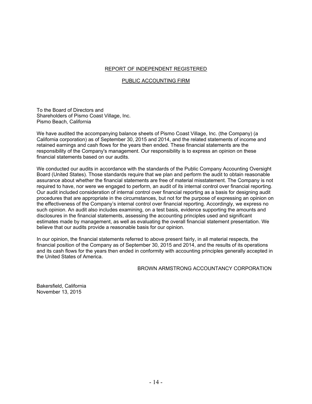## REPORT OF INDEPENDENT REGISTERED

#### PUBLIC ACCOUNTING FIRM

To the Board of Directors and Shareholders of Pismo Coast Village, Inc. Pismo Beach, California

We have audited the accompanying balance sheets of Pismo Coast Village, Inc. (the Company) (a California corporation) as of September 30, 2015 and 2014, and the related statements of income and retained earnings and cash flows for the years then ended. These financial statements are the responsibility of the Company's management. Our responsibility is to express an opinion on these financial statements based on our audits.

We conducted our audits in accordance with the standards of the Public Company Accounting Oversight Board (United States). Those standards require that we plan and perform the audit to obtain reasonable assurance about whether the financial statements are free of material misstatement. The Company is not required to have, nor were we engaged to perform, an audit of its internal control over financial reporting. Our audit included consideration of internal control over financial reporting as a basis for designing audit procedures that are appropriate in the circumstances, but not for the purpose of expressing an opinion on the effectiveness of the Company's internal control over financial reporting. Accordingly, we express no such opinion. An audit also includes examining, on a test basis, evidence supporting the amounts and disclosures in the financial statements, assessing the accounting principles used and significant estimates made by management, as well as evaluating the overall financial statement presentation. We believe that our audits provide a reasonable basis for our opinion.

In our opinion, the financial statements referred to above present fairly, in all material respects, the financial position of the Company as of September 30, 2015 and 2014, and the results of its operations and its cash flows for the years then ended in conformity with accounting principles generally accepted in the United States of America.

#### BROWN ARMSTRONG ACCOUNTANCY CORPORATION

Bakersfield, California November 13, 2015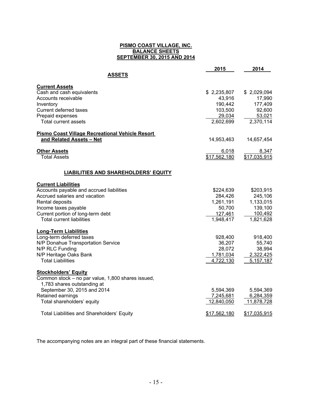#### **PISMO COAST VILLAGE, INC. BALANCE SHEETS SEPTEMBER 30, 2015 AND 2014**

|                                                                       | 2015                  | 2014                  |
|-----------------------------------------------------------------------|-----------------------|-----------------------|
| <b>ASSETS</b>                                                         |                       |                       |
| <b>Current Assets</b>                                                 |                       |                       |
| Cash and cash equivalents<br>Accounts receivable                      | \$2,235,807<br>43,916 | \$2,029,094<br>17,990 |
| Inventory                                                             | 190,442               | 177,409               |
| Current deferred taxes                                                | 103,500               | 92,600                |
| Prepaid expenses                                                      | 29,034                | 53,021                |
| <b>Total current assets</b>                                           | 2,602,699             | 2,370,114             |
| <b>Pismo Coast Village Recreational Vehicle Resort</b>                |                       |                       |
| and Related Assets - Net                                              | 14,953,463            | 14,657,454            |
| <b>Other Assets</b>                                                   | 6,018                 | 8,347                 |
| <b>Total Assets</b>                                                   | \$17,562,180          | \$17,035,915          |
| <b>LIABILITIES AND SHAREHOLDERS' EQUITY</b>                           |                       |                       |
| <b>Current Liabilities</b>                                            |                       |                       |
| Accounts payable and accrued liabilities                              | \$224,639             | \$203,915             |
| Accrued salaries and vacation                                         | 284,426               | 245,106               |
| Rental deposits                                                       | 1,261,191             | 1,133,015             |
| Income taxes payable                                                  | 50,700                | 139,100               |
| Current portion of long-term debt<br><b>Total current liabilities</b> | 127,461<br>1,948,417  | 100,492               |
|                                                                       |                       | 1,821,628             |
| <b>Long-Term Liabilities</b>                                          |                       |                       |
| Long-term deferred taxes                                              | 928,400               | 918,400               |
| N/P Donahue Transportation Service<br>N/P RLC Funding                 | 36,207<br>28,072      | 55,740<br>38,994      |
| N/P Heritage Oaks Bank                                                | 1,781,034             | 2,322,425             |
| <b>Total Liabilities</b>                                              | 4,722,130             | 5, 157, 187           |
| <b>Stockholders' Equity</b>                                           |                       |                       |
| Common stock - no par value, 1,800 shares issued,                     |                       |                       |
| 1,783 shares outstanding at                                           |                       |                       |
| September 30, 2015 and 2014                                           | 5,594,369             | 5,594,369             |
| Retained earnings                                                     | 7,245,681             | 6,284,359             |
| Total shareholders' equity                                            | 12,840,050            | 11,878,728            |
| <b>Total Liabilities and Shareholders' Equity</b>                     | \$17,562,180          | \$17,035,915          |

The accompanying notes are an integral part of these financial statements.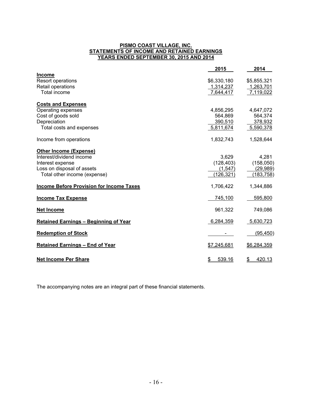#### **PISMO COAST VILLAGE, INC. STATEMENTS OF INCOME AND RETAINED EARNINGS YEARS ENDED SEPTEMBER 30, 2015 AND 2014**

|                                                 | 2015                    | 2014         |
|-------------------------------------------------|-------------------------|--------------|
| <b>Income</b>                                   |                         |              |
| Resort operations                               | \$6,330,180             | \$5,855,321  |
| Retail operations                               | 1,314,237               | 1,263,701    |
| Total income                                    | 7,644,417               | 7,119,022    |
| <b>Costs and Expenses</b>                       |                         |              |
| Operating expenses                              | 4,856,295               | 4,647,072    |
| Cost of goods sold                              | 564,869                 | 564,374      |
| Depreciation                                    | 390,510                 | 378,932      |
| Total costs and expenses                        | 5,811,674               | 5,590,378    |
| Income from operations                          | 1,832,743               | 1,528,644    |
| <b>Other Income (Expense)</b>                   |                         |              |
| Interest/dividend income                        | 3,629                   | 4,281        |
| Interest expense                                | (128, 403)              | (158,050)    |
| Loss on disposal of assets                      | (1, 547)                | (29, 989)    |
| Total other income (expense)                    | (126, 321)              | (183, 758)   |
| <b>Income Before Provision for Income Taxes</b> | 1,706,422               | 1,344,886    |
| <b>Income Tax Expense</b>                       | 745,100                 | 595,800      |
| <b>Net Income</b>                               | 961,322                 | 749,086      |
| <b>Retained Earnings - Beginning of Year</b>    | 6,284,359               | 5,630,723    |
| <b>Redemption of Stock</b>                      |                         | (95, 450)    |
| <b>Retained Earnings - End of Year</b>          | \$7,245,681             | \$6,284,359  |
| <b>Net Income Per Share</b>                     | $\frac{1}{2}$<br>539.16 | 420.13<br>\$ |

The accompanying notes are an integral part of these financial statements.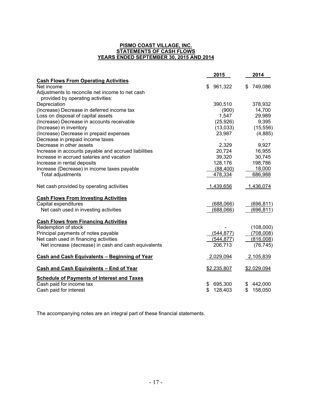#### **PISMO COAST VILLAGE, INC. STATEMENTS OF CASH FLOWS YEARS ENDED SEPTEMBER 30, 2015 AND 2014**

|                                                      | 2015          | 2014          |
|------------------------------------------------------|---------------|---------------|
| <b>Cash Flows From Operating Activities</b>          |               |               |
| Net income                                           | 961,322<br>\$ | 749,086<br>\$ |
| Adjustments to reconcile net income to net cash      |               |               |
| provided by operating activities:                    |               |               |
| Depreciation                                         | 390,510       | 378,932       |
| (Increase) Decrease in deferred income tax           | (900)         | 14,700        |
| Loss on disposal of capital assets                   | 1,547         | 29,989        |
| (Increase) Decrease in accounts receivable           | (25, 926)     | 9,395         |
| (Increase) in inventory                              | (13,033)      | (15, 556)     |
| (Increase) Decrease in prepaid expenses              | 23,987        | (4,885)       |
| Decrease in prepaid income taxes                     |               |               |
| Decrease in other assets                             | 2,329         | 9,927         |
| Increase in accounts payable and accrued liabilities | 20,724        | 16,955        |
| Increase in accrued salaries and vacation            | 39,320        | 30,745        |
| Increase in rental deposits                          | 128,176       | 198,786       |
| Increase (Decrease) in income taxes payable          | (88, 400)     | 18,000        |
| Total adjustments                                    | 478,334       | 686,988       |
|                                                      |               |               |
| Net cash provided by operating activities            | 1,439,656     | 1,436,074     |
| <b>Cash Flows From Investing Activities</b>          |               |               |
| Capital expenditures                                 | (688,066)     | (696, 811)    |
| Net cash used in investing activities                | (688,066)     | (696, 811)    |
| <b>Cash Flows from Financing Activities</b>          |               |               |
| Redemption of stock                                  |               | (108,000)     |
| Principal payments of notes payable                  | (544, 877)    | (708,008)     |
| Net cash used in financing activities                | (544, 877)    | (816,008)     |
| Net increase (decrease) in cash and cash equivalents | 206,713       | (76, 745)     |
| <b>Cash and Cash Equivalents - Beginning of Year</b> | 2,029,094     | 2,105,839     |
| Cash and Cash Equivalents - End of Year              | \$2,235,807   | \$2,029,094   |
| <b>Schedule of Payments of Interest and Taxes</b>    |               |               |
| Cash paid for income tax                             | \$<br>695,300 | \$<br>442,000 |
| Cash paid for interest                               | \$<br>128,403 | \$<br>158,050 |

The accompanying notes are an integral part of these financial statements.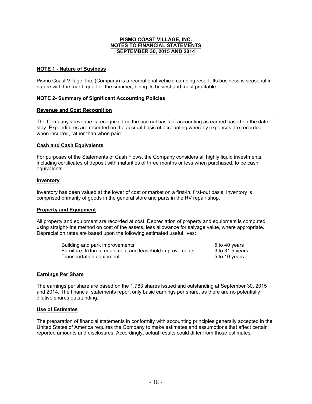# **NOTE 1 - Nature of Business**

Pismo Coast Village, Inc. (Company) is a recreational vehicle camping resort. Its business is seasonal in nature with the fourth quarter, the summer, being its busiest and most profitable.

## **NOTE 2- Summary of Significant Accounting Policies**

#### **Revenue and Cost Recognition**

The Company's revenue is recognized on the accrual basis of accounting as earned based on the date of stay. Expenditures are recorded on the accrual basis of accounting whereby expenses are recorded when incurred, rather than when paid.

## **Cash and Cash Equivalents**

For purposes of the Statements of Cash Flows, the Company considers all highly liquid investments, including certificates of deposit with maturities of three months or less when purchased, to be cash equivalents.

## **Inventory**

Inventory has been valued at the lower of cost or market on a first-in, first-out basis. Inventory is comprised primarily of goods in the general store and parts in the RV repair shop.

#### **Property and Equipment**

All property and equipment are recorded at cost. Depreciation of property and equipment is computed using straight-line method on cost of the assets, less allowance for salvage value, where appropriate. Depreciation rates are based upon the following estimated useful lives:

| Building and park improvements                            | 5 to 40 years   |
|-----------------------------------------------------------|-----------------|
| Furniture, fixtures, equipment and leasehold improvements | 3 to 31.5 years |
| Transportation equipment                                  | 5 to 10 years   |

#### **Earnings Per Share**

The earnings per share are based on the 1,783 shares issued and outstanding at September 30, 2015 and 2014. The financial statements report only basic earnings per share, as there are no potentially dilutive shares outstanding.

#### **Use of Estimates**

The preparation of financial statements in conformity with accounting principles generally accepted in the United States of America requires the Company to make estimates and assumptions that affect certain reported amounts and disclosures. Accordingly, actual results could differ from those estimates.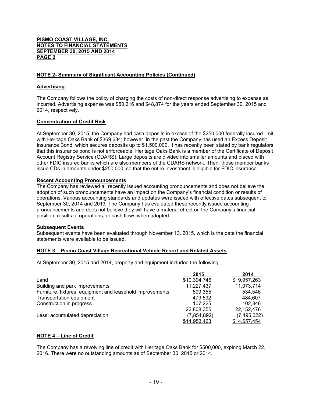# **NOTE 2- Summary of Significant Accounting Policies (Continued)**

# **Advertising**

The Company follows the policy of charging the costs of non-direct response advertising to expense as incurred. Advertising expense was \$50,216 and \$48,874 for the years ended September 30, 2015 and 2014, respectively.

# **Concentration of Credit Risk**

At September 30, 2015, the Company had cash deposits in excess of the \$250,000 federally insured limit with Heritage Oaks Bank of \$369,634; however, in the past the Company has used an Excess Deposit Insurance Bond, which secures deposits up to \$1,500,000. It has recently been stated by bank regulators that this insurance bond is not enforceable. Heritage Oaks Bank is a member of the Certificate of Deposit Account Registry Service (CDARS). Large deposits are divided into smaller amounts and placed with other FDIC insured banks which are also members of the CDARS network. Then, those member banks issue CDs in amounts under \$250,000, so that the entire investment is eligible for FDIC insurance.

## **Recent Accounting Pronouncements**

The Company has reviewed all recently issued accounting pronouncements and does not believe the adoption of such pronouncements have an impact on the Company's financial condition or results of operations. Various accounting standards and updates were issued with effective dates subsequent to September 30, 2014 and 2013. The Company has evaluated these recently issued accounting pronouncements and does not believe they will have a material effect on the Company's financial position, results of operations, or cash flows when adopted.

#### **Subsequent Events**

Subsequent events have been evaluated through November 13, 2015, which is the date the financial statements were available to be issued.

# **NOTE 3 – Pismo Coast Village Recreational Vehicle Resort and Related Assets**

At September 30, 2015 and 2014, property and equipment included the following:

|                                                           | 2015         | 2014         |
|-----------------------------------------------------------|--------------|--------------|
| Land                                                      | \$10,394,746 | \$9,957,263  |
| Building and park improvements                            | 11,227,437   | 11,073,714   |
| Furniture, fixtures, equipment and leasehold improvements | 599,355      | 534.546      |
| Transportation equipment                                  | 479.592      | 484.607      |
| Construction in progress                                  | 107.225      | 102.346      |
|                                                           | 22,808,355   | 22.152.476   |
| Less: accumulated depreciation                            | (7,854,892)  | (7,495,022)  |
|                                                           | \$14,953,463 | \$14,657,454 |

# **NOTE 4 – Line of Credit**

The Company has a revolving line of credit with Heritage Oaks Bank for \$500,000, expiring March 22, 2016. There were no outstanding amounts as of September 30, 2015 or 2014.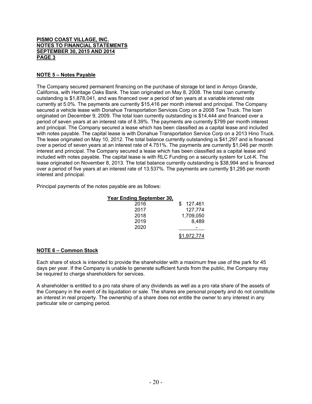# **NOTE 5 – Notes Payable**

The Company secured permanent financing on the purchase of storage lot land in Arroyo Grande, California, with Heritage Oaks Bank. The loan originated on May 8, 2008. The total loan currently outstanding is \$1,878,041, and was financed over a period of ten years at a variable interest rate currently at 5.0%. The payments are currently \$15,416 per month interest and principal. The Company secured a vehicle lease with Donahue Transportation Services Corp on a 2008 Tow Truck. The loan originated on December 9, 2009. The total loan currently outstanding is \$14,444 and financed over a period of seven years at an interest rate of 8.39%. The payments are currently \$799 per month interest and principal. The Company secured a lease which has been classified as a capital lease and included with notes payable. The capital lease is with Donahue Transportation Service Corp on a 2013 Hino Truck. The lease originated on May 10, 2012. The total balance currently outstanding is \$41,297 and is financed over a period of seven years at an interest rate of 4.751%. The payments are currently \$1,046 per month interest and principal. The Company secured a lease which has been classified as a capital lease and included with notes payable. The capital lease is with RLC Funding on a security system for Lot-K. The lease originated on November 8, 2013. The total balance currently outstanding is \$38,994 and is financed over a period of five years at an interest rate of 13.537%. The payments are currently \$1,295 per month interest and principal.

Principal payments of the notes payable are as follows:

# **Year Ending September 30,**

| 2016 | 127,461<br>\$ |
|------|---------------|
| 2017 | 127,774       |
| 2018 | 1,709,050     |
| 2019 | 8,489         |
| 2020 |               |
|      | \$1,972,774   |

# **NOTE 6 – Common Stock**

Each share of stock is intended to provide the shareholder with a maximum free use of the park for 45 days per year. If the Company is unable to generate sufficient funds from the public, the Company may be required to charge shareholders for services.

A shareholder is entitled to a pro rata share of any dividends as well as a pro rata share of the assets of the Company in the event of its liquidation or sale. The shares are personal property and do not constitute an interest in real property. The ownership of a share does not entitle the owner to any interest in any particular site or camping period.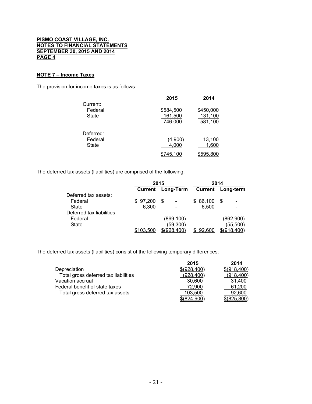## **NOTE 7 – Income Taxes**

The provision for income taxes is as follows:

| Current:                      | 2015                            | 2014                            |
|-------------------------------|---------------------------------|---------------------------------|
| Federal<br>State              | \$584,500<br>161,500<br>746,000 | \$450,000<br>131,100<br>581,100 |
| Deferred:<br>Federal<br>State | (4,900)<br>4,000                | 13,100<br>1,600                 |
|                               | 45.100                          | \$595.800                       |

The deferred tax assets (liabilities) are comprised of the following:

|                          | 2015             |               | 2014     |                  |
|--------------------------|------------------|---------------|----------|------------------|
|                          | <b>Current</b>   | Long-Term     | Current  | <b>Long-term</b> |
| Deferred tax assets:     |                  |               |          |                  |
| Federal                  | \$97,200         | \$            | \$86,100 | S                |
| State                    | 6.300            |               | 6.500    |                  |
| Deferred tax liabilities |                  |               |          |                  |
| Federal                  |                  | (869, 100)    |          | (862,900)        |
| <b>State</b>             |                  | (59, 300)     |          | (55, 500)        |
|                          | <u>\$103,500</u> | \$ (928, 400) | 92,600   | \$ (918, 400)    |

The deferred tax assets (liabilities) consist of the following temporary differences:

|                                      | 2015         | 2014          |
|--------------------------------------|--------------|---------------|
| Depreciation                         | \$(928,400)  | \$(918,400)   |
| Total gross deferred tax liabilities | (928, 400)   | (918, 400)    |
| Vacation accrual                     | 30.600       | 31.400        |
| Federal benefit of state taxes       | 72,900       | 61,200        |
| Total gross deferred tax assets      | 103.500      | 92.600        |
|                                      | \$ (824,900) | $$$ (825,800) |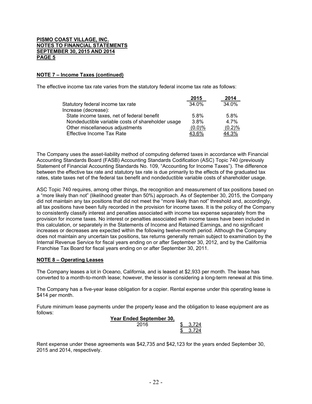# **NOTE 7 – Income Taxes (continued)**

The effective income tax rate varies from the statutory federal income tax rate as follows:

|                                                   | 2015      | 2014      |
|---------------------------------------------------|-----------|-----------|
| Statutory federal income tax rate                 | 34.0%     | 34.0%     |
| Increase (decrease):                              |           |           |
| State income taxes, net of federal benefit        | 5.8%      | 5.8%      |
| Nondeductible variable costs of shareholder usage | $3.8\%$   | $4.7\%$   |
| Other miscellaneous adjustments                   | $(0.0)\%$ | $(0.2)$ % |
| Effective Income Tax Rate                         | 43.6%     | 44.3%     |

The Company uses the asset-liability method of computing deferred taxes in accordance with Financial Accounting Standards Board (FASB) Accounting Standards Codification (ASC) Topic 740 (previously Statement of Financial Accounting Standards No. 109, "Accounting for Income Taxes"). The difference between the effective tax rate and statutory tax rate is due primarily to the effects of the graduated tax rates, state taxes net of the federal tax benefit and nondeductible variable costs of shareholder usage.

ASC Topic 740 requires, among other things, the recognition and measurement of tax positions based on a "more likely than not" (likelihood greater than 50%) approach. As of September 30, 2015, the Company did not maintain any tax positions that did not meet the "more likely than not" threshold and, accordingly, all tax positions have been fully recorded in the provision for income taxes. It is the policy of the Company to consistently classify interest and penalties associated with income tax expense separately from the provision for income taxes. No interest or penalties associated with income taxes have been included in this calculation, or separately in the Statements of Income and Retained Earnings, and no significant increases or decreases are expected within the following twelve-month period. Although the Company does not maintain any uncertain tax positions, tax returns generally remain subject to examination by the Internal Revenue Service for fiscal years ending on or after September 30, 2012, and by the California Franchise Tax Board for fiscal years ending on or after September 30, 2011.

#### **NOTE 8 – Operating Leases**

The Company leases a lot in Oceano, California, and is leased at \$2,933 per month. The lease has converted to a month-to-month lease; however, the lessor is considering a long-term renewal at this time.

The Company has a five-year lease obligation for a copier. Rental expense under this operating lease is \$414 per month.

Future minimum lease payments under the property lease and the obligation to lease equipment are as follows:

| Year Ended September 30, |        |
|--------------------------|--------|
| 2016                     | -3.724 |
|                          | -3.724 |

Rent expense under these agreements was \$42,735 and \$42,123 for the years ended September 30, 2015 and 2014, respectively.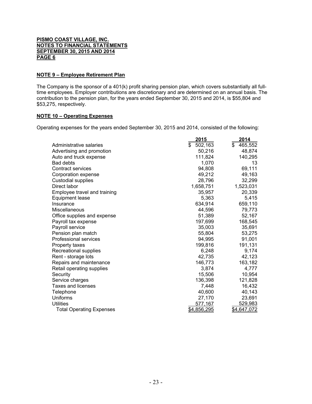## **NOTE 9 – Employee Retirement Plan**

The Company is the sponsor of a 401(k) profit sharing pension plan, which covers substantially all fulltime employees. Employer contributions are discretionary and are determined on an annual basis. The contribution to the pension plan, for the years ended September 30, 2015 and 2014, is \$55,804 and \$53,275, respectively.

#### **NOTE 10 – Operating Expenses**

Operating expenses for the years ended September 30, 2015 and 2014, consisted of the following:

|                                 | 2015          | 2014          |
|---------------------------------|---------------|---------------|
| Administrative salaries         | 502,163<br>\$ | 465,552<br>\$ |
| Advertising and promotion       | 50,216        | 48,874        |
| Auto and truck expense          | 111,824       | 140,295       |
| <b>Bad debts</b>                | 1.070         | 13            |
| Contract services               | 94,808        | 69,111        |
| Corporation expense             | 49,212        | 49,163        |
| <b>Custodial supplies</b>       | 28,796        | 32,299        |
| Direct labor                    | 1,658,751     | 1,523,031     |
| Employee travel and training    | 35,957        | 20,339        |
| Equipment lease                 | 5.363         | 5,415         |
| Insurance                       | 634,914       | 659,110       |
| Miscellaneous                   | 44,596        | 79,773        |
| Office supplies and expense     | 51,389        | 52,167        |
| Payroll tax expense             | 197,699       | 168,545       |
| Payroll service                 | 35,003        | 35,691        |
| Pension plan match              | 55,804        | 53,275        |
| <b>Professional services</b>    | 94,995        | 91,001        |
| Property taxes                  | 199,816       | 191,131       |
| Recreational supplies           | 6,248         | 9,174         |
| Rent - storage lots             | 42,735        | 42,123        |
| Repairs and maintenance         | 146,773       | 163,182       |
| Retail operating supplies       | 3,874         | 4,777         |
| Security                        | 15,506        | 10,954        |
| Service charges                 | 136,398       | 121,828       |
| Taxes and licenses              | 7,448         | 16,432        |
| Telephone                       | 40,600        | 40,143        |
| Uniforms                        | 27,170        | 23,691        |
| Utilities                       | 577,167       | 529,983       |
| <b>Total Operating Expenses</b> | \$4,856,295   | \$4,647,072   |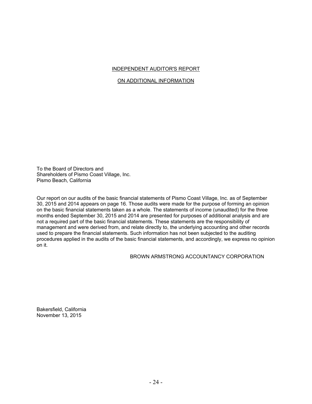#### INDEPENDENT AUDITOR'S REPORT

## ON ADDITIONAL INFORMATION

To the Board of Directors and Shareholders of Pismo Coast Village, Inc. Pismo Beach, California

Our report on our audits of the basic financial statements of Pismo Coast Village, Inc. as of September 30, 2015 and 2014 appears on page 16. Those audits were made for the purpose of forming an opinion on the basic financial statements taken as a whole. The statements of income (unaudited) for the three months ended September 30, 2015 and 2014 are presented for purposes of additional analysis and are not a required part of the basic financial statements. These statements are the responsibility of management and were derived from, and relate directly to, the underlying accounting and other records used to prepare the financial statements. Such information has not been subjected to the auditing procedures applied in the audits of the basic financial statements, and accordingly, we express no opinion on it.

## BROWN ARMSTRONG ACCOUNTANCY CORPORATION

Bakersfield, California November 13, 2015